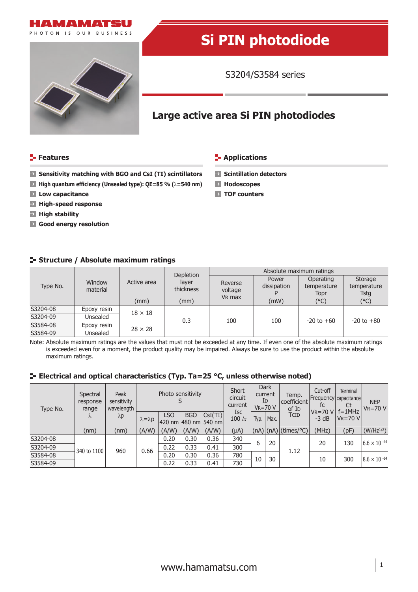



# **Si PIN photodiode**

S3204/S3584 series

# **Large active area Si PIN photodiodes**

### **Features CONSIDERING INCREDICT IN THE EXAMPLE THE EXAMPLE THE EXAMPLE THE EXAMPLE THE EXAMPLE THE EXAMPLE THE EXAMPLE THE EXAMPLE THE EXAMPLE THE EXAMPLE THE EXAMPLE THE EXAMPLE THE EXAMPLE THE EXAMPLE THE EXAMPLE THE E**

**Hodoscopes TOF counters**

- **Sensitivity matching with BGO and CsI (TI) scintillators Solutillation detectors**
- **High quantum efficiency (Unsealed type): QE=85 % (λ=540 nm)**
- **Low capacitance**
- **High-speed response**
- **High stability**
- **Good energy resolution**

# **Structure / Absolute maximum ratings**

| Type No. | Window<br>material | Active area<br>(mm) | Depletion                  | Absolute maximum ratings                 |                              |                                          |                                        |  |  |  |
|----------|--------------------|---------------------|----------------------------|------------------------------------------|------------------------------|------------------------------------------|----------------------------------------|--|--|--|
|          |                    |                     | layer<br>thickness<br>(mm) | Reverse<br>voltage<br>V <sub>R</sub> max | Power<br>dissipation<br>(mW) | Operating<br>temperature<br>Topr<br>(°C) | Storage<br>temperature<br>Tstg<br>(°C) |  |  |  |
| S3204-08 | Epoxy resin        | $18 \times 18$      | 0.3                        |                                          |                              |                                          |                                        |  |  |  |
| S3204-09 | Unsealed           |                     |                            | 100                                      | 100                          | $-20$ to $+60$                           | $-20$ to $+80$                         |  |  |  |
| S3584-08 | Epoxy resin        | $28 \times 28$      |                            |                                          |                              |                                          |                                        |  |  |  |
| S3584-09 | Unsealed           |                     |                            |                                          |                              |                                          |                                        |  |  |  |

Note: Absolute maximum ratings are the values that must not be exceeded at any time. If even one of the absolute maximum ratings is exceeded even for a moment, the product quality may be impaired. Always be sure to use the product within the absolute maximum ratings.

# **E** Electrical and optical characteristics (Typ. Ta=25 °C, unless otherwise noted)

| Type No. | Spectral<br>response<br>range<br>$\Lambda$ | Peak<br>sensitivity<br>wavelength<br>$\lambda p$ | Photo sensitivity     |            |            | Short<br>circuit<br>current       | Dark<br>current<br>ID<br>$V_R = 70 V$ |      | Temp.<br>  coefficient  <br>of I <sub>D</sub> | Cut-off<br>  Frequency   capacitance  <br>fc | <b>Terminal</b><br>Ct   | <b>NEP</b><br>$V_R = 70 V$  |                       |
|----------|--------------------------------------------|--------------------------------------------------|-----------------------|------------|------------|-----------------------------------|---------------------------------------|------|-----------------------------------------------|----------------------------------------------|-------------------------|-----------------------------|-----------------------|
|          |                                            |                                                  | $\lambda = \lambda p$ | <b>LSO</b> | <b>BGO</b> | CSI(TI) <br> 420 nm 480 nm 540 nm | <b>Isc</b><br>100 $lx$                | Typ. | Max.                                          | TCID                                         | $V_R = 70 V$<br>$-3 dB$ | $f = 1$ MHz<br>$V_R = 70 V$ |                       |
|          | (nm)                                       | (nm)                                             | (A/W)                 | (A/W)      | (A/W)      | (A/W)                             | $(\mu A)$                             |      |                                               | $(nA)$ (nA) (times/°C)                       | (MHz)                   | (pF)                        | $(W/Hz^{1/2})$        |
| S3204-08 | 340 to 1100                                | 960                                              | 0.66                  | 0.20       | 0.30       | 0.36                              | 340                                   | 6    | 20                                            |                                              | 20                      | 130                         | $6.6 \times 10^{-14}$ |
| S3204-09 |                                            |                                                  |                       | 0.22       | 0.33       | 0.41                              | 300                                   |      |                                               | 1.12                                         |                         |                             |                       |
| S3584-08 |                                            |                                                  |                       | 0.20       | 0.30       | 0.36                              | 780                                   | 10   | 30                                            |                                              | 10                      | 300                         | $8.6 \times 10^{-14}$ |
| S3584-09 |                                            |                                                  |                       | 0.22       | 0.33       | 0.41                              | 730                                   |      |                                               |                                              |                         |                             |                       |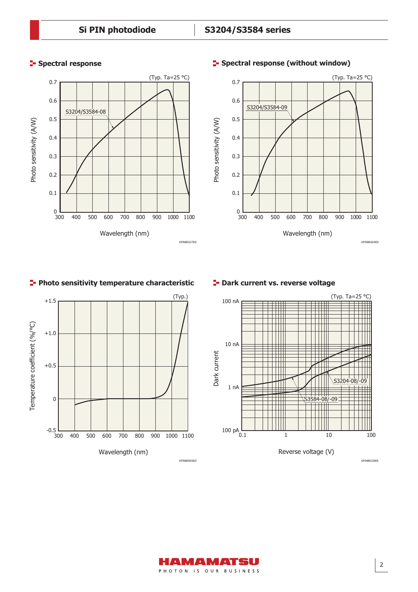



# **Photo sensitivity temperature characteristic Providence T- Dark current vs. reverse voltage**





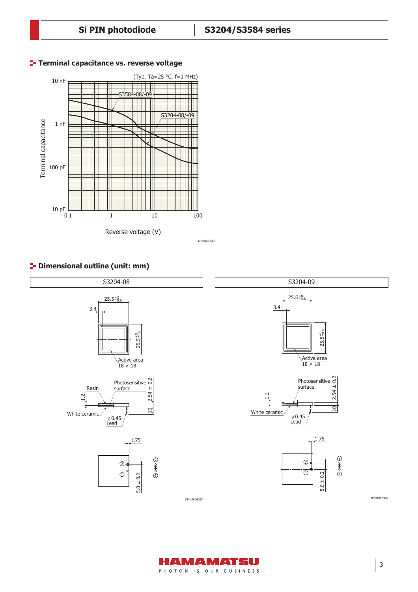

# **Terminal capacitance vs. reverse voltage**

KPINB0230EE

# **P** Dimensional outline (unit: mm)